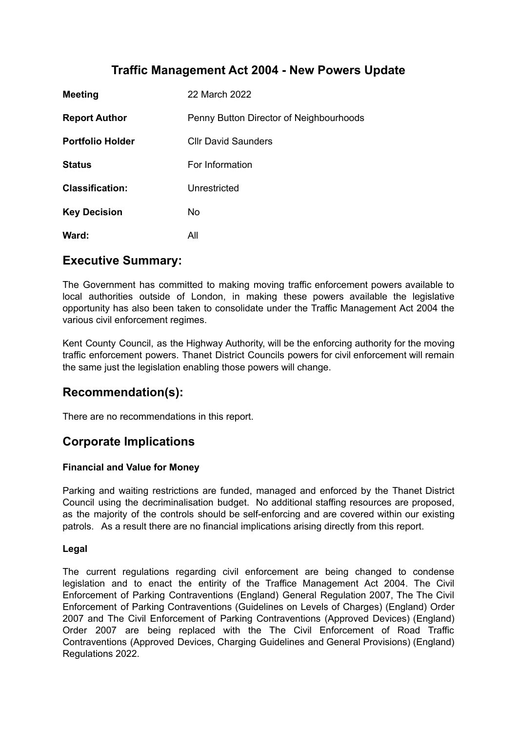# **Traffic Management Act 2004 - New Powers Update**

| <b>Meeting</b>          | 22 March 2022                           |
|-------------------------|-----------------------------------------|
| <b>Report Author</b>    | Penny Button Director of Neighbourhoods |
| <b>Portfolio Holder</b> | <b>Cllr David Saunders</b>              |
| <b>Status</b>           | For Information                         |
| <b>Classification:</b>  | Unrestricted                            |
| <b>Key Decision</b>     | No.                                     |
| Ward:                   | All                                     |

### **Executive Summary:**

The Government has committed to making moving traffic enforcement powers available to local authorities outside of London, in making these powers available the legislative opportunity has also been taken to consolidate under the Traffic Management Act 2004 the various civil enforcement regimes.

Kent County Council, as the Highway Authority, will be the enforcing authority for the moving traffic enforcement powers. Thanet District Councils powers for civil enforcement will remain the same just the legislation enabling those powers will change.

# **Recommendation(s):**

There are no recommendations in this report.

# **Corporate Implications**

#### **Financial and Value for Money**

Parking and waiting restrictions are funded, managed and enforced by the Thanet District Council using the decriminalisation budget. No additional staffing resources are proposed, as the majority of the controls should be self-enforcing and are covered within our existing patrols. As a result there are no financial implications arising directly from this report.

#### **Legal**

The current regulations regarding civil enforcement are being changed to condense legislation and to enact the entirity of the Traffice Management Act 2004. The Civil Enforcement of Parking Contraventions (England) General Regulation 2007, The The Civil Enforcement of Parking Contraventions (Guidelines on Levels of Charges) (England) Order 2007 and The Civil Enforcement of Parking Contraventions (Approved Devices) (England) Order 2007 are being replaced with the The Civil Enforcement of Road Traffic Contraventions (Approved Devices, Charging Guidelines and General Provisions) (England) Regulations 2022.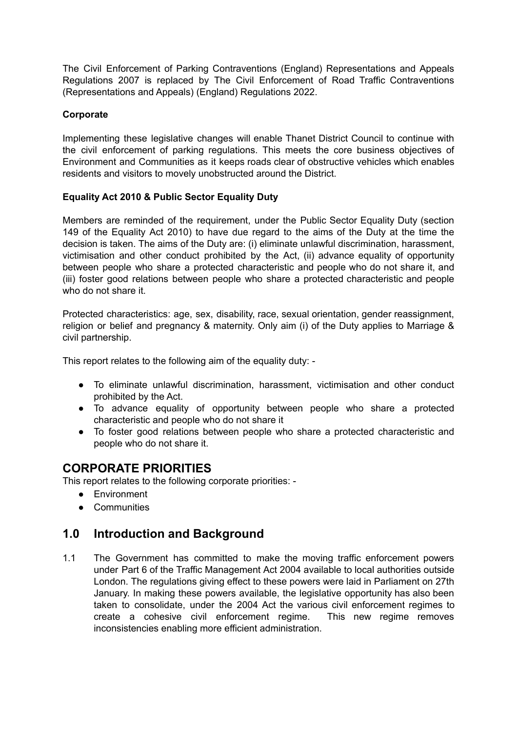The Civil Enforcement of Parking Contraventions (England) Representations and Appeals Regulations 2007 is replaced by The Civil Enforcement of Road Traffic Contraventions (Representations and Appeals) (England) Regulations 2022.

#### **Corporate**

Implementing these legislative changes will enable Thanet District Council to continue with the civil enforcement of parking regulations. This meets the core business objectives of Environment and Communities as it keeps roads clear of obstructive vehicles which enables residents and visitors to movely unobstructed around the District.

#### **Equality Act 2010 & Public Sector Equality Duty**

Members are reminded of the requirement, under the Public Sector Equality Duty (section 149 of the Equality Act 2010) to have due regard to the aims of the Duty at the time the decision is taken. The aims of the Duty are: (i) eliminate unlawful discrimination, harassment, victimisation and other conduct prohibited by the Act, (ii) advance equality of opportunity between people who share a protected characteristic and people who do not share it, and (iii) foster good relations between people who share a protected characteristic and people who do not share it.

Protected characteristics: age, sex, disability, race, sexual orientation, gender reassignment, religion or belief and pregnancy & maternity. Only aim (i) of the Duty applies to Marriage & civil partnership.

This report relates to the following aim of the equality duty: -

- To eliminate unlawful discrimination, harassment, victimisation and other conduct prohibited by the Act.
- To advance equality of opportunity between people who share a protected characteristic and people who do not share it
- To foster good relations between people who share a protected characteristic and people who do not share it.

# **CORPORATE PRIORITIES**

This report relates to the following corporate priorities: -

- Environment
- Communities

### **1.0 Introduction and Background**

1.1 The Government has committed to make the moving traffic enforcement powers under Part 6 of the Traffic Management Act 2004 available to local authorities outside London. The regulations giving effect to these powers were laid in Parliament on 27th January. In making these powers available, the legislative opportunity has also been taken to consolidate, under the 2004 Act the various civil enforcement regimes to create a cohesive civil enforcement regime. This new regime removes inconsistencies enabling more efficient administration.